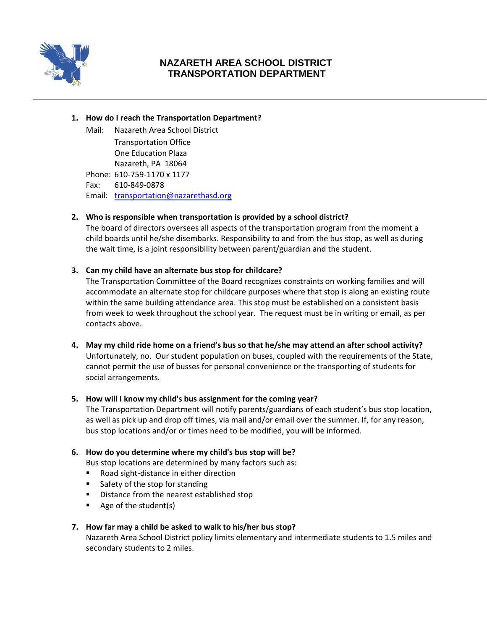

# **NAZARETH AREA SCHOOL DISTRICT TRANSPORTATION DEPARTMENT**

#### **1. How do I reach the Transportation Department?**

Mail: Nazareth Area School District Transportation Office One Education Plaza Nazareth, PA 18064 Phone: 610-759-1170 x 1177 Fax: 610-849-0878 Email: [transportation@nazarethasd.org](mailto:transportation@nazarethasd.org)

# **2. Who is responsible when transportation is provided by a school district?**

The board of directors oversees all aspects of the transportation program from the moment a child boards until he/she disembarks. Responsibility to and from the bus stop, as well as during the wait time, is a joint responsibility between parent/guardian and the student.

## **3. Can my child have an alternate bus stop for childcare?**

The Transportation Committee of the Board recognizes constraints on working families and will accommodate an alternate stop for childcare purposes where that stop is along an existing route within the same building attendance area. This stop must be established on a consistent basis from week to week throughout the school year. The request must be in writing or email, as per contacts above.

**4. May my child ride home on a friend's bus so that he/she may attend an after school activity?** Unfortunately, no. Our student population on buses, coupled with the requirements of the State, cannot permit the use of busses for personal convenience or the transporting of students for social arrangements.

#### **5. How will I know my child's bus assignment for the coming year?**

The Transportation Department will notify parents/guardians of each student's bus stop location, as well as pick up and drop off times, via mail and/or email over the summer. If, for any reason, bus stop locations and/or or times need to be modified, you will be informed.

#### **6. How do you determine where my child's bus stop will be?**

Bus stop locations are determined by many factors such as:

- Road sight-distance in either direction
- Safety of the stop for standing
- **Distance from the nearest established stop**
- Age of the student(s)

# **7. How far may a child be asked to walk to his/her bus stop?**

Nazareth Area School District policy limits elementary and intermediate students to 1.5 miles and secondary students to 2 miles.